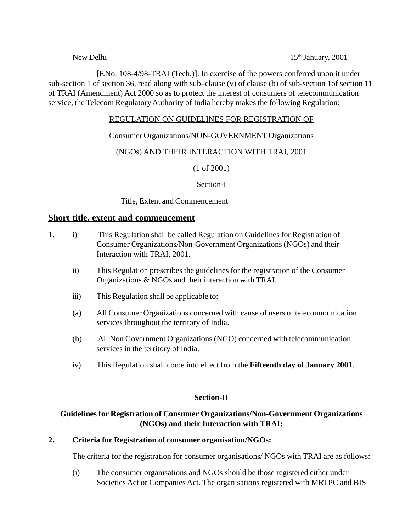New Delhi 15<sup>th</sup> January, 2001

[F.No. 108-4/98-TRAI (Tech.)]. In exercise of the powers conferred upon it under sub-section 1 of section 36, read along with sub–clause (v) of clause (b) of sub-section 1of section 11 of TRAI (Amendment) Act 2000 so as to protect the interest of consumers of telecommunication service, the Telecom Regulatory Authority of India hereby makes the following Regulation:

### REGULATION ON GUIDELINES FOR REGISTRATION OF

#### Consumer Organizations/NON-GOVERNMENT Organizations

## (NGOs) AND THEIR INTERACTION WITH TRAI, 2001

(1 of 2001)

#### Section-I

Title, Extent and Commencement

#### **Short title, extent and commencement**

- 1. i) This Regulation shall be called Regulation on Guidelines for Registration of Consumer Organizations/Non-Government Organizations (NGOs) and their Interaction with TRAI, 2001.
	- ii) This Regulation prescribes the guidelines for the registration of the Consumer Organizations & NGOs and their interaction with TRAI.
	- iii) This Regulation shall be applicable to:
	- (a) All Consumer Organizations concerned with cause of users of telecommunication services throughout the territory of India.
	- (b) All Non Government Organizations (NGO) concerned with telecommunication services in the territory of India.
	- iv) This Regulation shall come into effect from the **Fifteenth day of January 2001**.

#### **Section-II**

## **Guidelines for Registration of Consumer Organizations/Non-Government Organizations (NGOs) and their Interaction with TRAI:**

#### **2. Criteria for Registration of consumer organisation/NGOs:**

The criteria for the registration for consumer organisations/ NGOs with TRAI are as follows:

(i) The consumer organisations and NGOs should be those registered either under Societies Act or Companies Act. The organisations registered with MRTPC and BIS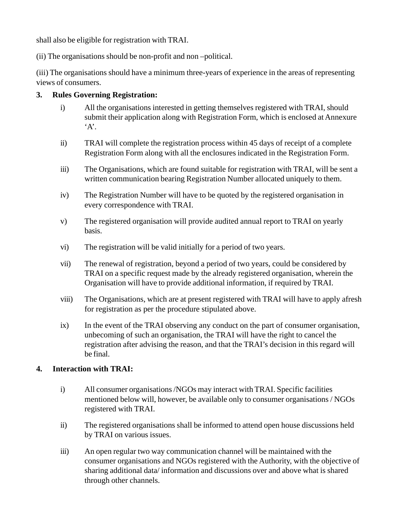shall also be eligible for registration with TRAI.

(ii) The organisations should be non-profit and non –political.

(iii) The organisations should have a minimum three-years of experience in the areas of representing views of consumers.

## **3. Rules Governing Registration:**

- i) All the organisations interested in getting themselves registered with TRAI, should submit their application along with Registration Form, which is enclosed at Annexure  $A$
- ii) TRAI will complete the registration process within 45 days of receipt of a complete Registration Form along with all the enclosures indicated in the Registration Form.
- iii) The Organisations, which are found suitable for registration with TRAI, will be sent a written communication bearing Registration Number allocated uniquely to them.
- iv) The Registration Number will have to be quoted by the registered organisation in every correspondence with TRAI.
- v) The registered organisation will provide audited annual report to TRAI on yearly basis.
- vi) The registration will be valid initially for a period of two years.
- vii) The renewal of registration, beyond a period of two years, could be considered by TRAI on a specific request made by the already registered organisation, wherein the Organisation will have to provide additional information, if required by TRAI.
- viii) The Organisations, which are at present registered with TRAI will have to apply afresh for registration as per the procedure stipulated above.
- ix) In the event of the TRAI observing any conduct on the part of consumer organisation, unbecoming of such an organisation, the TRAI will have the right to cancel the registration after advising the reason, and that the TRAI's decision in this regard will be final.

## **4. Interaction with TRAI:**

- i) All consumer organisations /NGOs may interact with TRAI. Specific facilities mentioned below will, however, be available only to consumer organisations / NGOs registered with TRAI.
- ii) The registered organisations shall be informed to attend open house discussions held by TRAI on various issues.
- iii) An open regular two way communication channel will be maintained with the consumer organisations and NGOs registered with the Authority, with the objective of sharing additional data/ information and discussions over and above what is shared through other channels.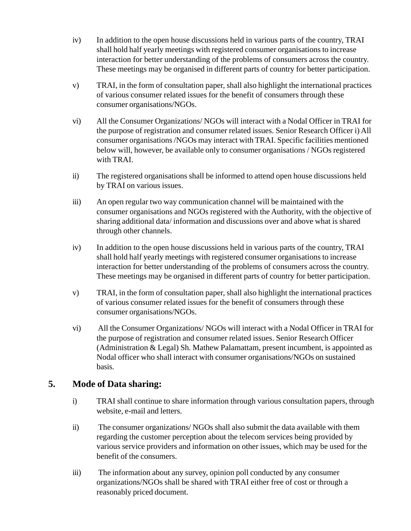- iv) In addition to the open house discussions held in various parts of the country, TRAI shall hold half yearly meetings with registered consumer organisations to increase interaction for better understanding of the problems of consumers across the country. These meetings may be organised in different parts of country for better participation.
- v) TRAI, in the form of consultation paper, shall also highlight the international practices of various consumer related issues for the benefit of consumers through these consumer organisations/NGOs.
- vi) All the Consumer Organizations/ NGOs will interact with a Nodal Officer in TRAI for the purpose of registration and consumer related issues. Senior Research Officer i) All consumer organisations /NGOs may interact with TRAI. Specific facilities mentioned below will, however, be available only to consumer organisations / NGOs registered with TRAI.
- ii) The registered organisations shall be informed to attend open house discussions held by TRAI on various issues.
- iii) An open regular two way communication channel will be maintained with the consumer organisations and NGOs registered with the Authority, with the objective of sharing additional data/ information and discussions over and above what is shared through other channels.
- iv) In addition to the open house discussions held in various parts of the country, TRAI shall hold half yearly meetings with registered consumer organisations to increase interaction for better understanding of the problems of consumers across the country. These meetings may be organised in different parts of country for better participation.
- v) TRAI, in the form of consultation paper, shall also highlight the international practices of various consumer related issues for the benefit of consumers through these consumer organisations/NGOs.
- vi) All the Consumer Organizations/ NGOs will interact with a Nodal Officer in TRAI for the purpose of registration and consumer related issues. Senior Research Officer (Administration & Legal) Sh. Mathew Palamattam, present incumbent, is appointed as Nodal officer who shall interact with consumer organisations/NGOs on sustained basis.

# **5. Mode of Data sharing:**

- i) TRAI shall continue to share information through various consultation papers, through website, e-mail and letters.
- ii) The consumer organizations/ NGOs shall also submit the data available with them regarding the customer perception about the telecom services being provided by various service providers and information on other issues, which may be used for the benefit of the consumers.
- iii) The information about any survey, opinion poll conducted by any consumer organizations/NGOs shall be shared with TRAI either free of cost or through a reasonably priced document.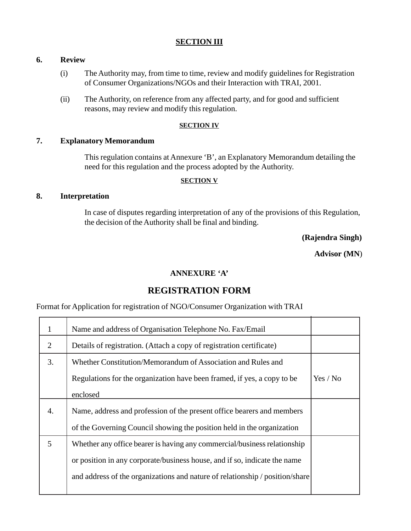#### **SECTION III**

### **6. Review**

- (i) The Authority may, from time to time, review and modify guidelines for Registration of Consumer Organizations/NGOs and their Interaction with TRAI, 2001.
- (ii) The Authority, on reference from any affected party, and for good and sufficient reasons, may review and modify this regulation.

#### **SECTION IV**

#### **7. Explanatory Memorandum**

This regulation contains at Annexure 'B', an Explanatory Memorandum detailing the need for this regulation and the process adopted by the Authority.

#### **SECTION V**

#### **8. Interpretation**

In case of disputes regarding interpretation of any of the provisions of this Regulation, the decision of the Authority shall be final and binding.

**(Rajendra Singh)**

**Advisor (MN**)

#### **ANNEXURE 'A'**

# **REGISTRATION FORM**

Format for Application for registration of NGO/Consumer Organization with TRAI

| $\mathbf{1}$ | Name and address of Organisation Telephone No. Fax/Email                     |          |
|--------------|------------------------------------------------------------------------------|----------|
| 2            | Details of registration. (Attach a copy of registration certificate)         |          |
| 3.           | Whether Constitution/Memorandum of Association and Rules and                 |          |
|              | Regulations for the organization have been framed, if yes, a copy to be      | Yes / No |
|              | enclosed                                                                     |          |
| 4.           | Name, address and profession of the present office bearers and members       |          |
|              | of the Governing Council showing the position held in the organization       |          |
| 5            | Whether any office bearer is having any commercial/business relationship     |          |
|              | or position in any corporate/business house, and if so, indicate the name    |          |
|              | and address of the organizations and nature of relationship / position/share |          |
|              |                                                                              |          |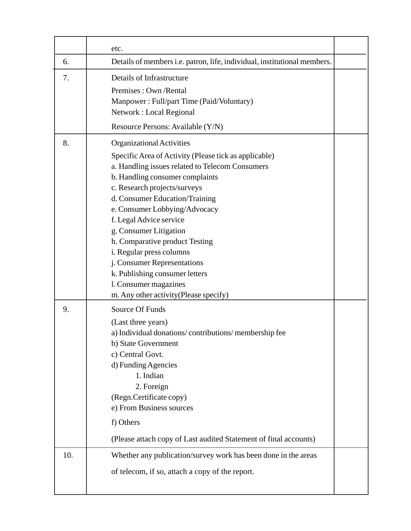|     | etc.                                                                                                                                                                                                                                                                                                                                                                                                                                                                                                                               |  |
|-----|------------------------------------------------------------------------------------------------------------------------------------------------------------------------------------------------------------------------------------------------------------------------------------------------------------------------------------------------------------------------------------------------------------------------------------------------------------------------------------------------------------------------------------|--|
| 6.  | Details of members i.e. patron, life, individual, institutional members.                                                                                                                                                                                                                                                                                                                                                                                                                                                           |  |
| 7.  | Details of Infrastructure<br>Premises: Own /Rental<br>Manpower: Full/part Time (Paid/Voluntary)<br>Network : Local Regional<br>Resource Persons: Available (Y/N)                                                                                                                                                                                                                                                                                                                                                                   |  |
| 8.  | Organizational Activities<br>Specific Area of Activity (Please tick as applicable)<br>a. Handling issues related to Telecom Consumers<br>b. Handling consumer complaints<br>c. Research projects/surveys<br>d. Consumer Education/Training<br>e. Consumer Lobbying/Advocacy<br>f. Legal Advice service<br>g. Consumer Litigation<br>h. Comparative product Testing<br>i. Regular press columns<br>j. Consumer Representations<br>k. Publishing consumer letters<br>1. Consumer magazines<br>m. Any other activity (Please specify) |  |
| 9.  | Source Of Funds<br>(Last three years)<br>a) Individual donations/contributions/membership fee<br>b) State Government<br>c) Central Govt.<br>d) Funding Agencies<br>1. Indian<br>2. Foreign<br>(Regn.Certificate copy)<br>e) From Business sources<br>f) Others<br>(Please attach copy of Last audited Statement of final accounts)                                                                                                                                                                                                 |  |
| 10. | Whether any publication/survey work has been done in the areas<br>of telecom, if so, attach a copy of the report.                                                                                                                                                                                                                                                                                                                                                                                                                  |  |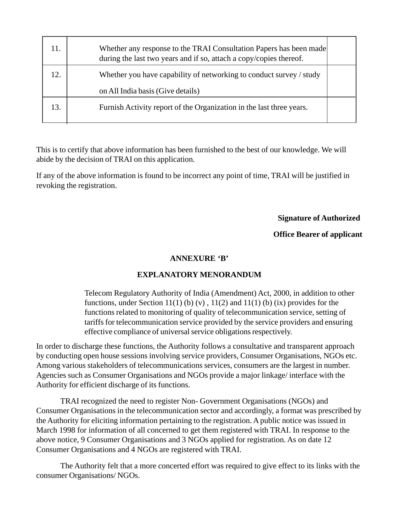| 11. | Whether any response to the TRAI Consultation Papers has been made<br>during the last two years and if so, attach a copy/copies thereof. |  |
|-----|------------------------------------------------------------------------------------------------------------------------------------------|--|
| 12. | Whether you have capability of networking to conduct survey / study                                                                      |  |
|     | on All India basis (Give details)                                                                                                        |  |
| 13. | Furnish Activity report of the Organization in the last three years.                                                                     |  |
|     |                                                                                                                                          |  |

This is to certify that above information has been furnished to the best of our knowledge. We will abide by the decision of TRAI on this application.

If any of the above information is found to be incorrect any point of time, TRAI will be justified in revoking the registration.

## **Signature of Authorized**

## **Office Bearer of applicant**

## **ANNEXURE 'B'**

## **EXPLANATORY MENORANDUM**

Telecom Regulatory Authority of India (Amendment) Act, 2000, in addition to other functions, under Section 11(1) (b) (v),  $11(2)$  and 11(1) (b) (ix) provides for the functions related to monitoring of quality of telecommunication service, setting of tariffs for telecommunication service provided by the service providers and ensuring effective compliance of universal service obligations respectively.

In order to discharge these functions, the Authority follows a consultative and transparent approach by conducting open house sessions involving service providers, Consumer Organisations, NGOs etc. Among various stakeholders of telecommunications services, consumers are the largest in number. Agencies such as Consumer Organisations and NGOs provide a major linkage/ interface with the Authority for efficient discharge of its functions.

TRAI recognized the need to register Non- Government Organisations (NGOs) and Consumer Organisations in the telecommunication sector and accordingly, a format was prescribed by the Authority for eliciting information pertaining to the registration. A public notice was issued in March 1998 for information of all concerned to get them registered with TRAI. In response to the above notice, 9 Consumer Organisations and 3 NGOs applied for registration. As on date 12 Consumer Organisations and 4 NGOs are registered with TRAI.

The Authority felt that a more concerted effort was required to give effect to its links with the consumer Organisations/ NGOs.